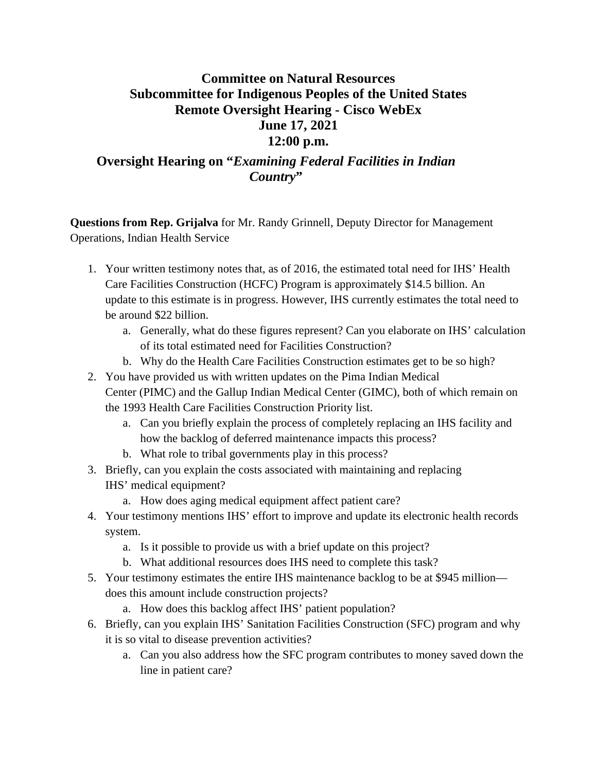## **Committee on Natural Resources Subcommittee for Indigenous Peoples of the United States Remote Oversight Hearing - Cisco WebEx June 17, 2021 12:00 p.m.**

## **Oversight Hearing on "***Examining Federal Facilities in Indian Country***"**

**Questions from Rep. Grijalva** for Mr. Randy Grinnell, Deputy Director for Management Operations, Indian Health Service

- 1. Your written testimony notes that, as of 2016, the estimated total need for IHS' Health Care Facilities Construction (HCFC) Program is approximately \$14.5 billion. An update to this estimate is in progress. However, IHS currently estimates the total need to be around \$22 billion.
	- a. Generally, what do these figures represent? Can you elaborate on IHS' calculation of its total estimated need for Facilities Construction?
	- b. Why do the Health Care Facilities Construction estimates get to be so high?
- 2. You have provided us with written updates on the Pima Indian Medical Center (PIMC) and the Gallup Indian Medical Center (GIMC), both of which remain on the 1993 Health Care Facilities Construction Priority list.
	- a. Can you briefly explain the process of completely replacing an IHS facility and how the backlog of deferred maintenance impacts this process?
	- b. What role to tribal governments play in this process?
- 3. Briefly, can you explain the costs associated with maintaining and replacing IHS' medical equipment?
	- a. How does aging medical equipment affect patient care?
- 4. Your testimony mentions IHS' effort to improve and update its electronic health records system.
	- a. Is it possible to provide us with a brief update on this project?
	- b. What additional resources does IHS need to complete this task?
- 5. Your testimony estimates the entire IHS maintenance backlog to be at \$945 million does this amount include construction projects?
	- a. How does this backlog affect IHS' patient population?
- 6. Briefly, can you explain IHS' Sanitation Facilities Construction (SFC) program and why it is so vital to disease prevention activities?
	- a. Can you also address how the SFC program contributes to money saved down the line in patient care?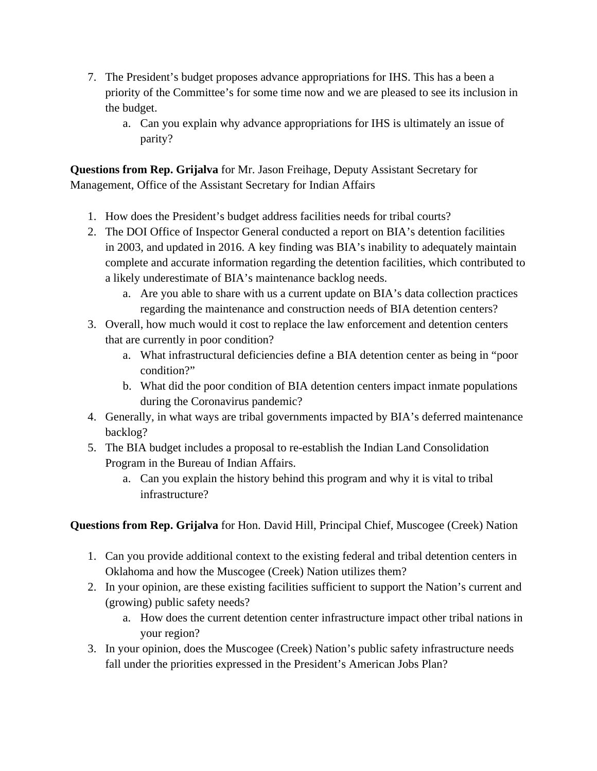- 7. The President's budget proposes advance appropriations for IHS. This has a been a priority of the Committee's for some time now and we are pleased to see its inclusion in the budget.
	- a. Can you explain why advance appropriations for IHS is ultimately an issue of parity?

**Questions from Rep. Grijalva** for Mr. Jason Freihage, Deputy Assistant Secretary for Management, Office of the Assistant Secretary for Indian Affairs

- 1. How does the President's budget address facilities needs for tribal courts?
- 2. The DOI Office of Inspector General conducted a report on BIA's detention facilities in 2003, and updated in 2016. A key finding was BIA's inability to adequately maintain complete and accurate information regarding the detention facilities, which contributed to a likely underestimate of BIA's maintenance backlog needs.
	- a. Are you able to share with us a current update on BIA's data collection practices regarding the maintenance and construction needs of BIA detention centers?
- 3. Overall, how much would it cost to replace the law enforcement and detention centers that are currently in poor condition?
	- a. What infrastructural deficiencies define a BIA detention center as being in "poor condition?"
	- b. What did the poor condition of BIA detention centers impact inmate populations during the Coronavirus pandemic?
- 4. Generally, in what ways are tribal governments impacted by BIA's deferred maintenance backlog?
- 5. The BIA budget includes a proposal to re-establish the Indian Land Consolidation Program in the Bureau of Indian Affairs.
	- a. Can you explain the history behind this program and why it is vital to tribal infrastructure?

**Questions from Rep. Grijalva** for Hon. David Hill, Principal Chief, Muscogee (Creek) Nation

- 1. Can you provide additional context to the existing federal and tribal detention centers in Oklahoma and how the Muscogee (Creek) Nation utilizes them?
- 2. In your opinion, are these existing facilities sufficient to support the Nation's current and (growing) public safety needs?
	- a. How does the current detention center infrastructure impact other tribal nations in your region?
- 3. In your opinion, does the Muscogee (Creek) Nation's public safety infrastructure needs fall under the priorities expressed in the President's American Jobs Plan?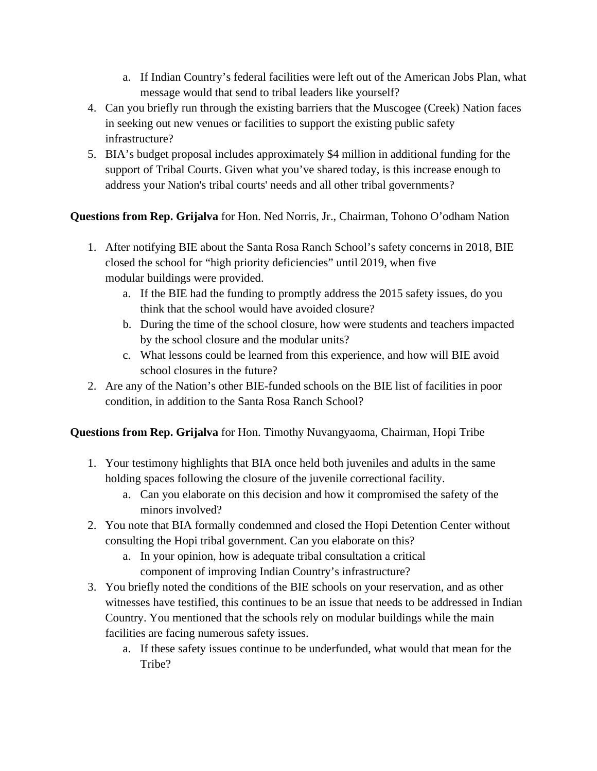- a. If Indian Country's federal facilities were left out of the American Jobs Plan, what message would that send to tribal leaders like yourself?
- 4. Can you briefly run through the existing barriers that the Muscogee (Creek) Nation faces in seeking out new venues or facilities to support the existing public safety infrastructure?
- 5. BIA's budget proposal includes approximately \$4 million in additional funding for the support of Tribal Courts. Given what you've shared today, is this increase enough to address your Nation's tribal courts' needs and all other tribal governments?

## **Questions from Rep. Grijalva** for Hon. Ned Norris, Jr., Chairman, Tohono O'odham Nation

- 1. After notifying BIE about the Santa Rosa Ranch School's safety concerns in 2018, BIE closed the school for "high priority deficiencies" until 2019, when five modular buildings were provided.
	- a. If the BIE had the funding to promptly address the 2015 safety issues, do you think that the school would have avoided closure?
	- b. During the time of the school closure, how were students and teachers impacted by the school closure and the modular units?
	- c. What lessons could be learned from this experience, and how will BIE avoid school closures in the future?
- 2. Are any of the Nation's other BIE-funded schools on the BIE list of facilities in poor condition, in addition to the Santa Rosa Ranch School?

## **Questions from Rep. Grijalva** for Hon. Timothy Nuvangyaoma, Chairman, Hopi Tribe

- 1. Your testimony highlights that BIA once held both juveniles and adults in the same holding spaces following the closure of the juvenile correctional facility.
	- a. Can you elaborate on this decision and how it compromised the safety of the minors involved?
- 2. You note that BIA formally condemned and closed the Hopi Detention Center without consulting the Hopi tribal government. Can you elaborate on this?
	- a. In your opinion, how is adequate tribal consultation a critical component of improving Indian Country's infrastructure?
- 3. You briefly noted the conditions of the BIE schools on your reservation, and as other witnesses have testified, this continues to be an issue that needs to be addressed in Indian Country. You mentioned that the schools rely on modular buildings while the main facilities are facing numerous safety issues.
	- a. If these safety issues continue to be underfunded, what would that mean for the Tribe?